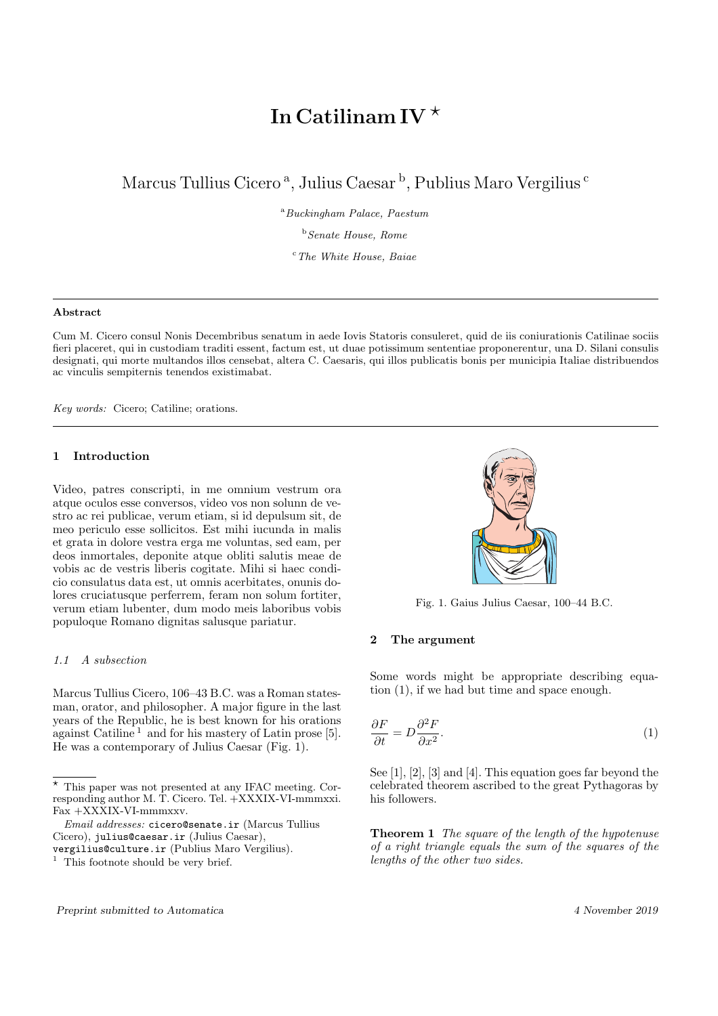# In Catilinam IV $^{\star}$

Marcus Tullius Cicero<sup>a</sup>, Julius Caesar<sup>b</sup>, Publius Maro Vergilius<sup>c</sup>

 $a<sup>a</sup>Buckingham Palace, Paestum$ 

 $<sup>b</sup> Senate House. Rome$ </sup>

 $c$ <sup>c</sup>The White House, Baiae

#### Abstract

Cum M. Cicero consul Nonis Decembribus senatum in aede Iovis Statoris consuleret, quid de iis coniurationis Catilinae sociis fieri placeret, qui in custodiam traditi essent, factum est, ut duae potissimum sententiae proponerentur, una D. Silani consulis designati, qui morte multandos illos censebat, altera C. Caesaris, qui illos publicatis bonis per municipia Italiae distribuendos ac vinculis sempiternis tenendos existimabat.

Key words: Cicero; Catiline; orations.

#### 1 Introduction

Video, patres conscripti, in me omnium vestrum ora atque oculos esse conversos, video vos non solunn de vestro ac rei publicae, verum etiam, si id depulsum sit, de meo periculo esse sollicitos. Est mihi iucunda in malis et grata in dolore vestra erga me voluntas, sed eam, per deos inmortales, deponite atque obliti salutis meae de vobis ac de vestris liberis cogitate. Mihi si haec condicio consulatus data est, ut omnis acerbitates, onunis dolores cruciatusque perferrem, feram non solum fortiter, verum etiam lubenter, dum modo meis laboribus vobis populoque Romano dignitas salusque pariatur.

#### 1.1 A subsection

Marcus Tullius Cicero, 106–43 B.C. was a Roman statesman, orator, and philosopher. A major figure in the last years of the Republic, he is best known for his orations against Catiline<sup>1</sup> and for his mastery of Latin prose [5]. He was a contemporary of Julius Caesar (Fig. 1).



Fig. 1. Gaius Julius Caesar, 100–44 B.C.

#### 2 The argument

Some words might be appropriate describing equation (1), if we had but time and space enough.

$$
\frac{\partial F}{\partial t} = D \frac{\partial^2 F}{\partial x^2}.
$$
\n(1)

See [1], [2], [3] and [4]. This equation goes far beyond the celebrated theorem ascribed to the great Pythagoras by his followers.

**Theorem 1** The square of the length of the hypotenuse of a right triangle equals the sum of the squares of the lengths of the other two sides.

 $\star$  This paper was not presented at any IFAC meeting. Corresponding author M. T. Cicero. Tel. +XXXIX-VI-mmmxxi. Fax +XXXIX-VI-mmmxxv.

Email addresses: cicero@senate.ir (Marcus Tullius Cicero), julius@caesar.ir (Julius Caesar),

vergilius@culture.ir (Publius Maro Vergilius).

 $1$  This footnote should be very brief.